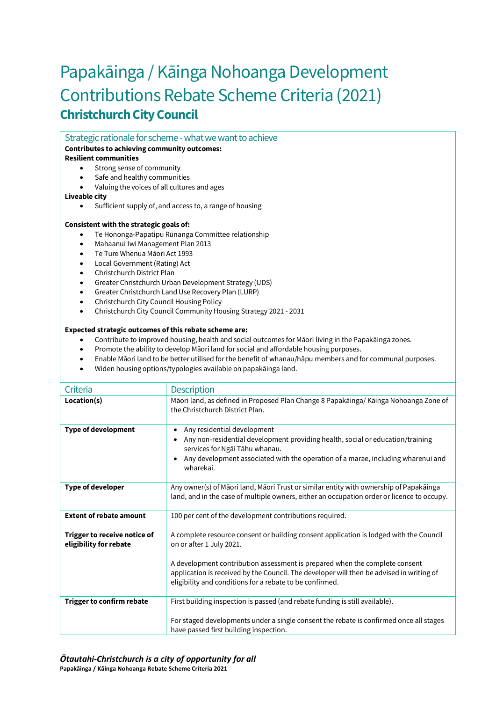# Papakāinga / Kāinga Nohoanga Development Contributions Rebate Scheme Criteria (2021) **Christchurch City Council**

Strategic rationale for scheme - what we want to achieve

## **Contributes to achieving community outcomes:**

### **Resilient communities**

- Strong sense of community
- Safe and healthy communities
- Valuing the voices of all cultures and ages

#### **Liveable city**

Sufficient supply of, and access to, a range of housing

#### **Consistent with the strategic goals of:**

- Te Hononga-Papatipu Rūnanga Committee relationship
- Mahaanui Iwi Management Plan 2013
- Te Ture Whenua Māori Act 1993
- Local Government (Rating) Act
- Christchurch District Plan
- Greater Christchurch Urban Development Strategy (UDS)
- Greater Christchurch Land Use Recovery Plan (LURP)
- Christchurch City Council Housing Policy
- Christchurch City Council Community Housing Strategy 2021 2031

#### **Expected strategic outcomes of this rebate scheme are:**

- Contribute to improved housing, health and social outcomes for Māori living in the Papakāinga zones.
- Promote the ability to develop Māori land for social and affordable housing purposes.
- Enable Māori land to be better utilised for the benefit of whanau/hāpu members and for communal purposes.
- Widen housing options/typologies available on papakāinga land.

| Criteria                                               | <b>Description</b>                                                                                                                                                                                                                                                                                                                                        |
|--------------------------------------------------------|-----------------------------------------------------------------------------------------------------------------------------------------------------------------------------------------------------------------------------------------------------------------------------------------------------------------------------------------------------------|
| Location(s)                                            | Māori land, as defined in Proposed Plan Change 8 Papakāinga/Kāinga Nohoanga Zone of<br>the Christchurch District Plan.                                                                                                                                                                                                                                    |
| <b>Type of development</b>                             | Any residential development<br>٠<br>Any non-residential development providing health, social or education/training<br>$\bullet$<br>services for Ngāi Tāhu whanau.<br>Any development associated with the operation of a marae, including wharenui and<br>$\bullet$<br>wharekai.                                                                           |
| <b>Type of developer</b>                               | Any owner(s) of Māori land, Māori Trust or similar entity with ownership of Papakāinga<br>land, and in the case of multiple owners, either an occupation order or licence to occupy.                                                                                                                                                                      |
| <b>Extent of rebate amount</b>                         | 100 per cent of the development contributions required.                                                                                                                                                                                                                                                                                                   |
| Trigger to receive notice of<br>eligibility for rebate | A complete resource consent or building consent application is lodged with the Council<br>on or after 1 July 2021.<br>A development contribution assessment is prepared when the complete consent<br>application is received by the Council. The developer will then be advised in writing of<br>eligibility and conditions for a rebate to be confirmed. |
| Trigger to confirm rebate                              | First building inspection is passed (and rebate funding is still available).                                                                                                                                                                                                                                                                              |
|                                                        | For staged developments under a single consent the rebate is confirmed once all stages<br>have passed first building inspection.                                                                                                                                                                                                                          |